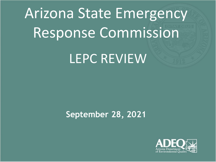# Arizona State Emergency Response Commission LEPC REVIEW

## **September 28, 2021**

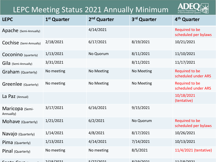## LEPC Meeting Status 2021 Annually Minimum



| <b>LEPC</b>                  | 1 <sup>st</sup> Quarter | 2 <sup>nd</sup> Quarter | 3rd Quarter | 4 <sup>th</sup> Quarter                       |
|------------------------------|-------------------------|-------------------------|-------------|-----------------------------------------------|
| Apache (Semi-Annually)       |                         | 4/14/2021               |             | Required to be<br>scheduled per bylaws        |
| Cochise (Semi-Annually)      | 2/18/2021               | 6/17/2021               | 8/19/2021   | 10/21/2021                                    |
| Coconino (quarterly)         | 1/13/2021               | No Quorum               | 8/11/2021   | 11/10/2021                                    |
| Gila (Semi-Annually)         | 3/31/2021               |                         | 8/11/2021   | 11/17/2021                                    |
| Graham (Quarterly)           | No meeting              | No Meeting              | No Meeting  | Required to be<br>scheduled under ARS         |
| Greenlee (Quarterly)         | No meeting              | No Meeting              | No Meeting  | Required to be<br>scheduled under ARS         |
| La Paz (Annual)              |                         |                         |             | 10/18/2021<br>(tentative)                     |
| Maricopa (Semi-<br>Annually) | 3/17/2021               | 6/16/2021               | 9/15/2021   |                                               |
| Mohave (Quarterly)           | 1/21/2021               | 6/2/2021                | No Quorum   | <b>Required to be</b><br>scheduled per bylaws |
| Navajo (Quarterly)           | 1/14/2021               | 4/8/2021                | 8/17/2021   | 10/26/2021                                    |
| Pima (Quarterly)             | 1/13/2021               | 4/14/2021               | 7/14/2021   | 10/13/2021                                    |
| Pinal (Quarterly)            | No meeting              | No meeting              | 8/5/2021    | 11/4/2021 (tentative)                         |
|                              | $2/18/2021$             | 5/27/2021               | 2/10/2021   | 11/18/2021                                    |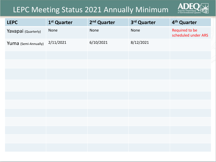## LEPC Meeting Status 2021 Annually Minimum



| <b>LEPC</b>          | 1 <sup>st</sup> Quarter | 2 <sup>nd</sup> Quarter | 3rd Quarter | 4 <sup>th</sup> Quarter               |
|----------------------|-------------------------|-------------------------|-------------|---------------------------------------|
| Yavapai (Quarterly)  | None                    | None                    | None        | Required to be<br>scheduled under ARS |
| Yuma (Semi-Annually) | 2/11/2021               | 6/10/2021               | 8/12/2021   |                                       |
|                      |                         |                         |             |                                       |
|                      |                         |                         |             |                                       |
|                      |                         |                         |             |                                       |
|                      |                         |                         |             |                                       |
|                      |                         |                         |             |                                       |
|                      |                         |                         |             |                                       |
|                      |                         |                         |             |                                       |
|                      |                         |                         |             |                                       |
|                      |                         |                         |             |                                       |
|                      |                         |                         |             |                                       |
|                      |                         |                         |             |                                       |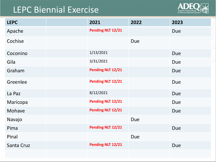# LEPC Biennial Exercise



| <b>LEPC</b> | 2021              | 2022       | 2023       |
|-------------|-------------------|------------|------------|
| Apache      | Pending NLT 12/21 |            | <b>Due</b> |
| Cochise     |                   | <b>Due</b> |            |
| Coconino    | 1/13/2021         |            | <b>Due</b> |
| Gila        | 3/31/2021         |            | <b>Due</b> |
| Graham      | Pending NLT 12/21 |            | <b>Due</b> |
| Greenlee    | Pending NLT 12/21 |            | <b>Due</b> |
| La Paz      | 8/12/2021         |            | Due        |
| Maricopa    | Pending NLT 12/21 |            | <b>Due</b> |
| Mohave      | Pending NLT 12/21 |            | <b>Due</b> |
| Navajo      |                   | <b>Due</b> |            |
| Pima        | Pending NLT 12/21 |            | <b>Due</b> |
| Pinal       |                   | <b>Due</b> |            |
| Santa Cruz  | Pending NLT 12/21 |            | <b>Due</b> |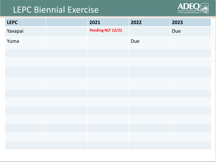## LEPC Biennial Exercise



| <b>LEPC</b> | 2021              | 2022 | 2023 |
|-------------|-------------------|------|------|
| Yavapai     | Pending NLT 12/21 |      | Due  |
| Yuma        |                   | Due  |      |
|             |                   |      |      |
|             |                   |      |      |
|             |                   |      |      |
|             |                   |      |      |
|             |                   |      |      |
|             |                   |      |      |
|             |                   |      |      |
|             |                   |      |      |
|             |                   |      |      |
|             |                   |      |      |
|             |                   |      |      |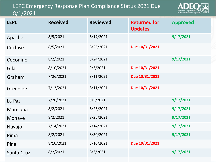#### LEPC Emergency Response Plan Compliance Status 2021 Due 8/1/2021



| <b>LEPC</b> | <b>Received</b> | <b>Reviewed</b> | <b>Returned for</b><br><b>Updates</b> | <b>Approved</b> |
|-------------|-----------------|-----------------|---------------------------------------|-----------------|
| Apache      | 8/5/2021        | 8/17/2021       |                                       | 9/17/2021       |
| Cochise     | 8/5/2021        | 8/25/2021       | Due 10/31/2021                        |                 |
| Coconino    | 8/2/2021        | 8/24/2021       |                                       | 9/17/2021       |
| Gila        | 8/10/2021       | 9/3/2021        | Due 10/31/2021                        |                 |
| Graham      | 7/26/2021       | 8/11/2021       | Due 10/31/2021                        |                 |
| Greenlee    | 7/13/2021       | 8/11/2021       | Due 10/31/2021                        |                 |
| La Paz      | 7/20/2021       | 9/3/2021        |                                       | 9/17/2021       |
| Maricopa    | 8/2/2021        | 8/26/2021       |                                       | 9/17/2021       |
| Mohave      | 8/2/2021        | 8/26/2021       |                                       | 9/17/2021       |
| Navajo      | 7/14/2021       | 7/14/2021       |                                       | 9/17/2021       |
| Pima        | 8/2/2021        | 8/30/2021       |                                       | 9/17/2021       |
| Pinal       | 8/10/2021       | 8/10/2021       | Due 10/31/2021                        |                 |
| Santa Cruz  | 8/2/2021        | 8/3/2021        |                                       | 9/17/2021       |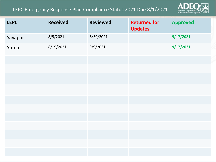#### LEPC Emergency Response Plan Compliance Status 2021 Due 8/1/2021



| <b>LEPC</b> | <b>Received</b> | <b>Reviewed</b> | <b>Returned for</b><br><b>Updates</b> | <b>Approved</b> |
|-------------|-----------------|-----------------|---------------------------------------|-----------------|
| Yavapai     | 8/5/2021        | 8/30/2021       |                                       | 9/17/2021       |
| Yuma        | 8/19/2021       | 9/9/2021        |                                       | 9/17/2021       |
|             |                 |                 |                                       |                 |
|             |                 |                 |                                       |                 |
|             |                 |                 |                                       |                 |
|             |                 |                 |                                       |                 |
|             |                 |                 |                                       |                 |
|             |                 |                 |                                       |                 |
|             |                 |                 |                                       |                 |
|             |                 |                 |                                       |                 |
|             |                 |                 |                                       |                 |
|             |                 |                 |                                       |                 |
|             |                 |                 |                                       |                 |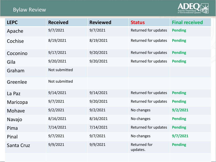### Bylaw Review



| <b>LEPC</b> | <b>Received</b> | <b>Reviewed</b> | <b>Status</b>            | <b>Final received</b> |
|-------------|-----------------|-----------------|--------------------------|-----------------------|
| Apache      | 9/7/2021        | 9/7/2021        | Returned for updates     | <b>Pending</b>        |
| Cochise     | 8/19/2021       | 8/19/2021       | Returned for updates     | <b>Pending</b>        |
| Coconino    | 9/17/2021       | 9/20/2021       | Returned for updates     | <b>Pending</b>        |
| Gila        | 9/20/2021       | 9/20/2021       | Returned for updates     | <b>Pending</b>        |
| Graham      | Not submitted   |                 |                          |                       |
| Greenlee    | Not submitted   |                 |                          |                       |
| La Paz      | 9/14/2021       | 9/14/2021       | Returned for updates     | <b>Pending</b>        |
| Maricopa    | 9/7/2021        | 9/20/2021       | Returned for updates     | <b>Pending</b>        |
| Mohave      | 9/2/2021        | 9/2/2021        | No changes               | 9/2/2021              |
| Navajo      | 8/16/2021       | 8/16/2021       | No changes               | <b>Pending</b>        |
| Pima        | 7/14/2021       | 7/14/2021       | Returned for updates     | <b>Pending</b>        |
| Pinal       | 9/7/2021        | 9/7/2021        | No changes               | 9/7/2021              |
| Santa Cruz  | 9/9/2021        | 9/9/2021        | Returned for<br>updates. | <b>Pending</b>        |